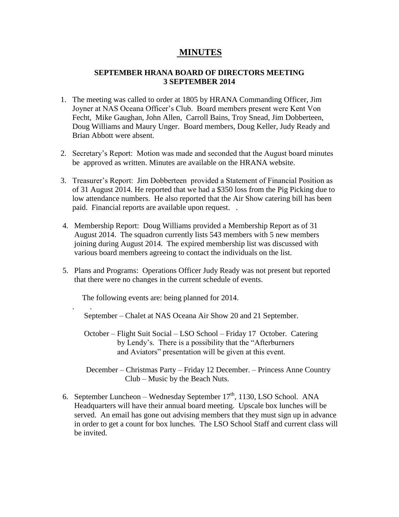## **MINUTES**

## **SEPTEMBER HRANA BOARD OF DIRECTORS MEETING 3 SEPTEMBER 2014**

- 1. The meeting was called to order at 1805 by HRANA Commanding Officer, Jim Joyner at NAS Oceana Officer's Club. Board members present were Kent Von Fecht, Mike Gaughan, John Allen, Carroll Bains, Troy Snead, Jim Dobberteen, Doug Williams and Maury Unger. Board members, Doug Keller, Judy Ready and Brian Abbott were absent.
- 2. Secretary's Report: Motion was made and seconded that the August board minutes be approved as written. Minutes are available on the HRANA website.
- 3. Treasurer's Report: Jim Dobberteen provided a Statement of Financial Position as of 31 August 2014. He reported that we had a \$350 loss from the Pig Picking due to low attendance numbers. He also reported that the Air Show catering bill has been paid. Financial reports are available upon request. .
- 4. Membership Report: Doug Williams provided a Membership Report as of 31 August 2014. The squadron currently lists 543 members with 5 new members joining during August 2014. The expired membership list was discussed with various board members agreeing to contact the individuals on the list.
- 5. Plans and Programs: Operations Officer Judy Ready was not present but reported that there were no changes in the current schedule of events.

The following events are: being planned for 2014.

. .

September – Chalet at NAS Oceana Air Show 20 and 21 September.

 October – Flight Suit Social – LSO School – Friday 17 October. Catering by Lendy's. There is a possibility that the "Afterburners and Aviators" presentation will be given at this event.

 December – Christmas Party – Friday 12 December. – Princess Anne Country Club – Music by the Beach Nuts.

6. September Luncheon – Wednesday September  $17<sup>th</sup>$ , 1130, LSO School. ANA Headquarters will have their annual board meeting. Upscale box lunches will be served. An email has gone out advising members that they must sign up in advance in order to get a count for box lunches. The LSO School Staff and current class will be invited.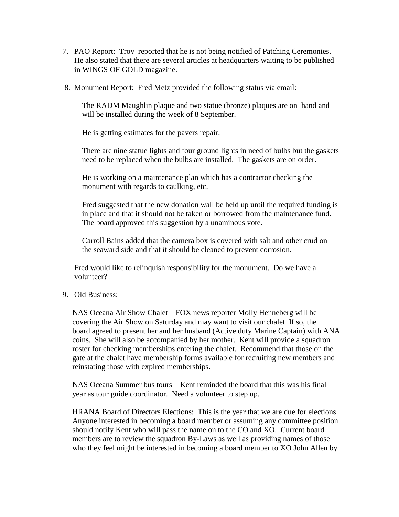- 7. PAO Report: Troy reported that he is not being notified of Patching Ceremonies. He also stated that there are several articles at headquarters waiting to be published in WINGS OF GOLD magazine.
- 8. Monument Report: Fred Metz provided the following status via email:

 The RADM Maughlin plaque and two statue (bronze) plaques are on hand and will be installed during the week of 8 September.

He is getting estimates for the pavers repair.

 There are nine statue lights and four ground lights in need of bulbs but the gaskets need to be replaced when the bulbs are installed. The gaskets are on order.

 He is working on a maintenance plan which has a contractor checking the monument with regards to caulking, etc.

 Fred suggested that the new donation wall be held up until the required funding is in place and that it should not be taken or borrowed from the maintenance fund. The board approved this suggestion by a unaminous vote.

 Carroll Bains added that the camera box is covered with salt and other crud on the seaward side and that it should be cleaned to prevent corrosion.

 Fred would like to relinquish responsibility for the monument. Do we have a volunteer?

9. Old Business:

NAS Oceana Air Show Chalet – FOX news reporter Molly Henneberg will be covering the Air Show on Saturday and may want to visit our chalet If so, the board agreed to present her and her husband (Active duty Marine Captain) with ANA coins. She will also be accompanied by her mother. Kent will provide a squadron roster for checking memberships entering the chalet. Recommend that those on the gate at the chalet have membership forms available for recruiting new members and reinstating those with expired memberships.

NAS Oceana Summer bus tours – Kent reminded the board that this was his final year as tour guide coordinator. Need a volunteer to step up.

HRANA Board of Directors Elections: This is the year that we are due for elections. Anyone interested in becoming a board member or assuming any committee position should notify Kent who will pass the name on to the CO and XO. Current board members are to review the squadron By-Laws as well as providing names of those who they feel might be interested in becoming a board member to XO John Allen by